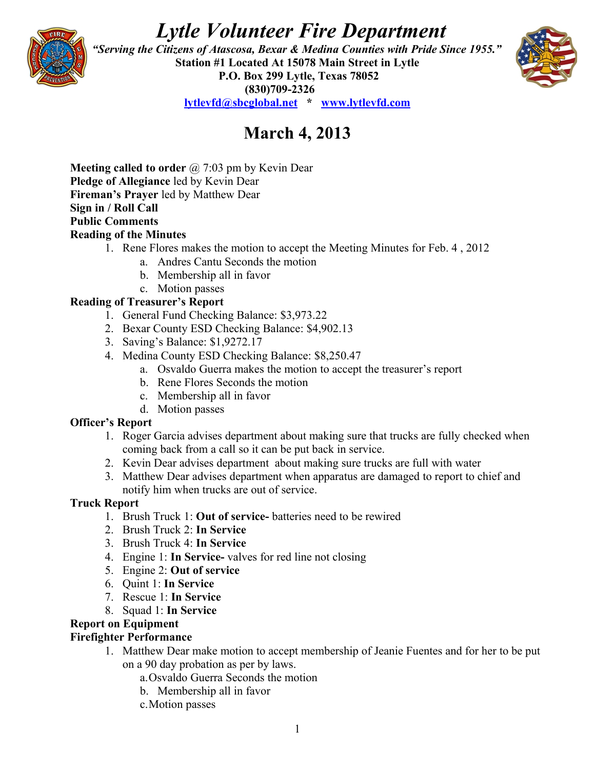# *Lytle Volunteer Fire Department*



 *"Serving the Citizens of Atascosa, Bexar & Medina Counties with Pride Since 1955."*  **Station #1 Located At 15078 Main Street in Lytle P.O. Box 299 Lytle, Texas 78052 (830)709-2326 [lytlevfd@sbcglobal.net](mailto:lytlevfd@sbcglobal.net) \* [www.lytlevfd.com](http://www.lytlevfd.com/)**



## **March 4, 2013**

**Meeting called to order** @ 7:03 pm by Kevin Dear **Pledge of Allegiance** led by Kevin Dear **Fireman's Prayer** led by Matthew Dear **Sign in / Roll Call Public Comments Reading of the Minutes**

- 1. Rene Flores makes the motion to accept the Meeting Minutes for Feb. 4 , 2012
	- a. Andres Cantu Seconds the motion
	- b. Membership all in favor
	- c. Motion passes

#### **Reading of Treasurer's Report**

- 1. General Fund Checking Balance: \$3,973.22
- 2. Bexar County ESD Checking Balance: \$4,902.13
- 3. Saving's Balance: \$1,9272.17
- 4. Medina County ESD Checking Balance: \$8,250.47
	- a. Osvaldo Guerra makes the motion to accept the treasurer's report
	- b. Rene Flores Seconds the motion
	- c. Membership all in favor
	- d. Motion passes

#### **Officer's Report**

- 1. Roger Garcia advises department about making sure that trucks are fully checked when coming back from a call so it can be put back in service.
- 2. Kevin Dear advises department about making sure trucks are full with water
- 3. Matthew Dear advises department when apparatus are damaged to report to chief and notify him when trucks are out of service.

#### **Truck Report**

- 1. Brush Truck 1: **Out of service-** batteries need to be rewired
- 2. Brush Truck 2: **In Service**
- 3. Brush Truck 4: **In Service**
- 4. Engine 1: **In Service-** valves for red line not closing
- 5. Engine 2: **Out of service**
- 6. Quint 1: **In Service**
- 7. Rescue 1: **In Service**
- 8. Squad 1: **In Service**

## **Report on Equipment**

#### **Firefighter Performance**

- 1. Matthew Dear make motion to accept membership of Jeanie Fuentes and for her to be put on a 90 day probation as per by laws.
	- a.Osvaldo Guerra Seconds the motion
	- b. Membership all in favor
	- c.Motion passes